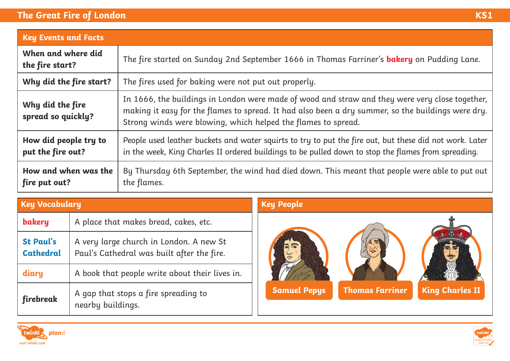## **The Great Fire of London KS1**

| <b>Key Events and Facts</b>                |                                                                                                                                                                                                                                                                        |  |  |  |
|--------------------------------------------|------------------------------------------------------------------------------------------------------------------------------------------------------------------------------------------------------------------------------------------------------------------------|--|--|--|
| When and where did<br>the fire start?      | The fire started on Sunday 2nd September 1666 in Thomas Farriner's <b>bakery</b> on Pudding Lane.                                                                                                                                                                      |  |  |  |
| Why did the fire start?                    | The fires used for baking were not put out properly.                                                                                                                                                                                                                   |  |  |  |
| Why did the fire<br>spread so quickly?     | In 1666, the buildings in London were made of wood and straw and they were very close together,<br>making it easy for the flames to spread. It had also been a dry summer, so the buildings were dry.<br>Strong winds were blowing, which helped the flames to spread. |  |  |  |
| How did people try to<br>put the fire out? | People used leather buckets and water squirts to try to put the fire out, but these did not work. Later<br>in the week, King Charles II ordered buildings to be pulled down to stop the flames from spreading.                                                         |  |  |  |
| How and when was the<br>fire put out?      | By Thursday 6th September, the wind had died down. This meant that people were able to put out<br>the flames.                                                                                                                                                          |  |  |  |

| <b>Key Vocabulary</b>                |                                                                                       | <b>Key People</b>   |                        |                        |
|--------------------------------------|---------------------------------------------------------------------------------------|---------------------|------------------------|------------------------|
| bakery                               | A place that makes bread, cakes, etc.                                                 |                     |                        |                        |
| <b>St Paul's</b><br><b>Cathedral</b> | A very large church in London. A new St<br>Paul's Cathedral was built after the fire. |                     | 后志                     |                        |
| diary                                | A book that people write about their lives in.                                        |                     |                        |                        |
| firebreak                            | A gap that stops a fire spreading to<br>nearby buildings.                             | <b>Samuel Pepys</b> | <b>Thomas Farriner</b> | <b>King Charles II</b> |